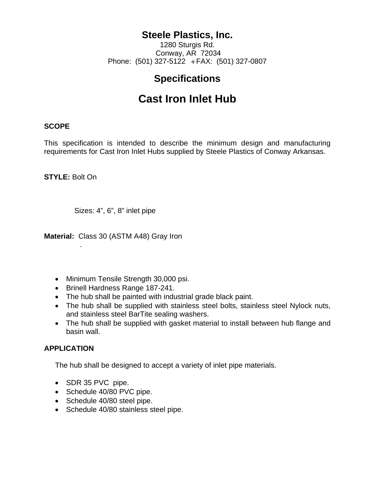## **Steele Plastics, Inc.**

1280 Sturgis Rd. Conway, AR 72034 Phone: (501) 327-5122  $+FAX$ : (501) 327-0807

# **Specifications**

# **Cast Iron Inlet Hub**

## **SCOPE**

This specification is intended to describe the minimum design and manufacturing requirements for Cast Iron Inlet Hubs supplied by Steele Plastics of Conway Arkansas.

**STYLE:** Bolt On

.

Sizes: 4", 6", 8" inlet pipe

**Material:** Class 30 (ASTM A48) Gray Iron

- Minimum Tensile Strength 30,000 psi.
- Brinell Hardness Range 187-241.
- The hub shall be painted with industrial grade black paint.
- The hub shall be supplied with stainless steel bolts, stainless steel Nylock nuts, and stainless steel BarTite sealing washers.
- The hub shall be supplied with gasket material to install between hub flange and basin wall.

## **APPLICATION**

The hub shall be designed to accept a variety of inlet pipe materials.

- SDR 35 PVC pipe.
- Schedule 40/80 PVC pipe.
- Schedule 40/80 steel pipe.
- Schedule 40/80 stainless steel pipe.